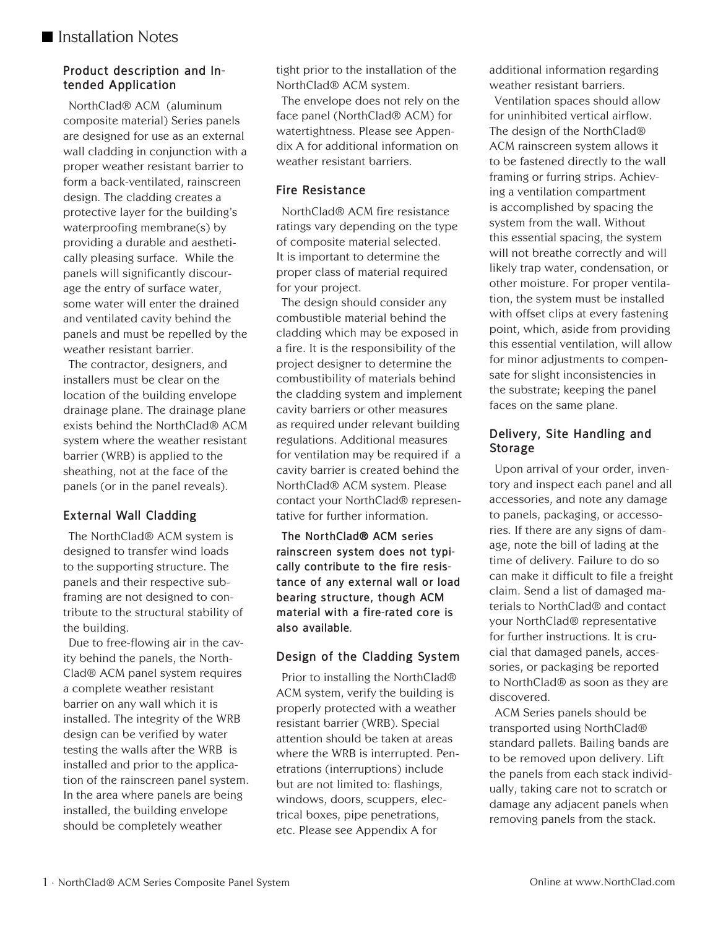# **Product description and Intended Application**

NorthClad® ACM (aluminum composite material) Series panels are designed for use as an external wall cladding in conjunction with a proper weather resistant barrier to form a back-ventilated, rainscreen design. The cladding creates a protective layer for the building's waterproofing membrane(s) by providing a durable and aesthetically pleasing surface. While the panels will significantly discourage the entry of surface water, some water will enter the drained and ventilated cavity behind the panels and must be repelled by the weather resistant barrier.

The contractor, designers, and installers must be clear on the location of the building envelope drainage plane. The drainage plane exists behind the NorthClad® ACM system where the weather resistant barrier (WRB) is applied to the sheathing, not at the face of the panels (or in the panel reveals).

# **External Wall Cladding**

The NorthClad® ACM system is designed to transfer wind loads to the supporting structure. The panels and their respective subframing are not designed to contribute to the structural stability of the building.

Due to free-flowing air in the cavity behind the panels, the North-Clad® ACM panel system requires a complete weather resistant barrier on any wall which it is installed. The integrity of the WRB design can be verified by water testing the walls after the WRB is installed and prior to the application of the rainscreen panel system. In the area where panels are being installed, the building envelope should be completely weather

tight prior to the installation of the NorthClad® ACM system.

The envelope does not rely on the face panel (NorthClad® ACM) for watertightness. Please see Appendix A for additional information on weather resistant barriers.

# **Fire Resistance**

NorthClad® ACM fire resistance ratings vary depending on the type of composite material selected. It is important to determine the proper class of material required for your project.

The design should consider any combustible material behind the cladding which may be exposed in a fire. It is the responsibility of the project designer to determine the combustibility of materials behind the cladding system and implement cavity barriers or other measures as required under relevant building regulations. Additional measures for ventilation may be required if a cavity barrier is created behind the NorthClad® ACM system. Please contact your NorthClad® representative for further information.

**The NorthClad® ACM series rainscreen system does not typically contribute to the fire resistance of any external wall or load bearing structure, though ACM material with a fire-rated core is also available.**

# **Design of the Cladding System**

Prior to installing the NorthClad® ACM system, verify the building is properly protected with a weather resistant barrier (WRB). Special attention should be taken at areas where the WRB is interrupted. Penetrations (interruptions) include but are not limited to: flashings, windows, doors, scuppers, electrical boxes, pipe penetrations, etc. Please see Appendix A for

additional information regarding weather resistant barriers.

Ventilation spaces should allow for uninhibited vertical airflow. The design of the NorthClad® ACM rainscreen system allows it to be fastened directly to the wall framing or furring strips. Achieving a ventilation compartment is accomplished by spacing the system from the wall. Without this essential spacing, the system will not breathe correctly and will likely trap water, condensation, or other moisture. For proper ventilation, the system must be installed with offset clips at every fastening point, which, aside from providing this essential ventilation, will allow for minor adjustments to compensate for slight inconsistencies in the substrate; keeping the panel faces on the same plane.

## **Delivery, Site Handling and Storage**

Upon arrival of your order, inventory and inspect each panel and all accessories, and note any damage to panels, packaging, or accessories. If there are any signs of damage, note the bill of lading at the time of delivery. Failure to do so can make it difficult to file a freight claim. Send a list of damaged materials to NorthClad® and contact your NorthClad® representative for further instructions. It is crucial that damaged panels, accessories, or packaging be reported to NorthClad® as soon as they are discovered.

ACM Series panels should be transported using NorthClad® standard pallets. Bailing bands are to be removed upon delivery. Lift the panels from each stack individually, taking care not to scratch or damage any adjacent panels when removing panels from the stack.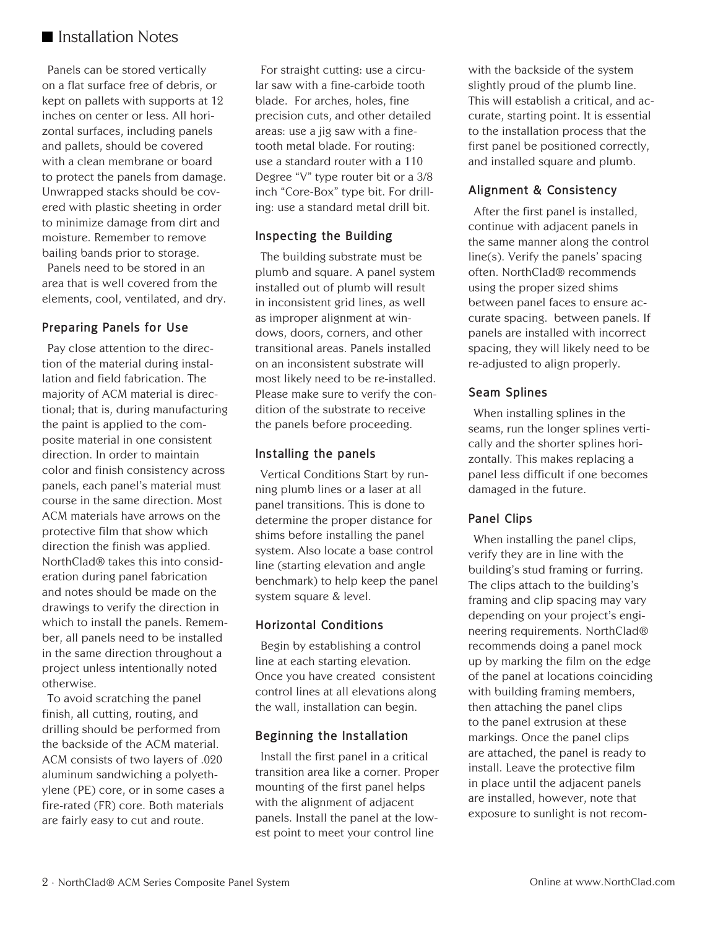# **Installation Notes**

Panels can be stored vertically on a flat surface free of debris, or kept on pallets with supports at 12 inches on center or less. All horizontal surfaces, including panels and pallets, should be covered with a clean membrane or board to protect the panels from damage. Unwrapped stacks should be covered with plastic sheeting in order to minimize damage from dirt and moisture. Remember to remove bailing bands prior to storage.

Panels need to be stored in an area that is well covered from the elements, cool, ventilated, and dry.

## **Preparing Panels for Use**

Pay close attention to the direction of the material during installation and field fabrication. The majority of ACM material is directional; that is, during manufacturing the paint is applied to the composite material in one consistent direction. In order to maintain color and finish consistency across panels, each panel's material must course in the same direction. Most ACM materials have arrows on the protective film that show which direction the finish was applied. NorthClad® takes this into consideration during panel fabrication and notes should be made on the drawings to verify the direction in which to install the panels. Remember, all panels need to be installed in the same direction throughout a project unless intentionally noted otherwise.

To avoid scratching the panel finish, all cutting, routing, and drilling should be performed from the backside of the ACM material. ACM consists of two layers of .020 aluminum sandwiching a polyethylene (PE) core, or in some cases a fire-rated (FR) core. Both materials are fairly easy to cut and route.

For straight cutting: use a circular saw with a fine-carbide tooth blade. For arches, holes, fine precision cuts, and other detailed areas: use a jig saw with a finetooth metal blade. For routing: use a standard router with a 110 Degree "V" type router bit or a 3/8 inch "Core-Box" type bit. For drilling: use a standard metal drill bit.

### **Inspecting the Building**

The building substrate must be plumb and square. A panel system installed out of plumb will result in inconsistent grid lines, as well as improper alignment at windows, doors, corners, and other transitional areas. Panels installed on an inconsistent substrate will most likely need to be re-installed. Please make sure to verify the condition of the substrate to receive the panels before proceeding.

### **Installing the panels**

Vertical Conditions Start by running plumb lines or a laser at all panel transitions. This is done to determine the proper distance for shims before installing the panel system. Also locate a base control line (starting elevation and angle benchmark) to help keep the panel system square & level.

## **Horizontal Conditions**

Begin by establishing a control line at each starting elevation. Once you have created consistent control lines at all elevations along the wall, installation can begin.

# **Beginning the Installation**

Install the first panel in a critical transition area like a corner. Proper mounting of the first panel helps with the alignment of adjacent panels. Install the panel at the lowest point to meet your control line

with the backside of the system slightly proud of the plumb line. This will establish a critical, and accurate, starting point. It is essential to the installation process that the first panel be positioned correctly, and installed square and plumb.

# **Alignment & Consistency**

After the first panel is installed, continue with adjacent panels in the same manner along the control line(s). Verify the panels' spacing often. NorthClad® recommends using the proper sized shims between panel faces to ensure accurate spacing. between panels. If panels are installed with incorrect spacing, they will likely need to be re-adjusted to align properly.

## **Seam Splines**

When installing splines in the seams, run the longer splines vertically and the shorter splines horizontally. This makes replacing a panel less difficult if one becomes damaged in the future.

## **Panel Clips**

When installing the panel clips, verify they are in line with the building's stud framing or furring. The clips attach to the building's framing and clip spacing may vary depending on your project's engineering requirements. NorthClad® recommends doing a panel mock up by marking the film on the edge of the panel at locations coinciding with building framing members, then attaching the panel clips to the panel extrusion at these markings. Once the panel clips are attached, the panel is ready to install. Leave the protective film in place until the adjacent panels are installed, however, note that exposure to sunlight is not recom